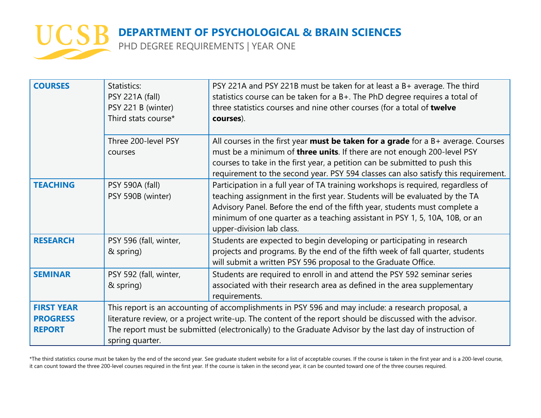

PHD DEGREE REQUIREMENTS | YEAR ONE

| <b>COURSES</b>                                        | Statistics:<br><b>PSY 221A (fall)</b><br>PSY 221 B (winter)<br>Third stats course*                                                                                                                                                                                                                                                            | PSY 221A and PSY 221B must be taken for at least a B+ average. The third<br>statistics course can be taken for a B+. The PhD degree requires a total of<br>three statistics courses and nine other courses (for a total of twelve<br>courses).                                                                                                            |
|-------------------------------------------------------|-----------------------------------------------------------------------------------------------------------------------------------------------------------------------------------------------------------------------------------------------------------------------------------------------------------------------------------------------|-----------------------------------------------------------------------------------------------------------------------------------------------------------------------------------------------------------------------------------------------------------------------------------------------------------------------------------------------------------|
|                                                       | Three 200-level PSY<br>courses                                                                                                                                                                                                                                                                                                                | All courses in the first year <b>must be taken for a grade</b> for a $B$ + average. Courses<br>must be a minimum of three units. If there are not enough 200-level PSY<br>courses to take in the first year, a petition can be submitted to push this<br>requirement to the second year. PSY 594 classes can also satisfy this requirement.               |
| <b>TEACHING</b>                                       | PSY 590A (fall)<br>PSY 590B (winter)                                                                                                                                                                                                                                                                                                          | Participation in a full year of TA training workshops is required, regardless of<br>teaching assignment in the first year. Students will be evaluated by the TA<br>Advisory Panel. Before the end of the fifth year, students must complete a<br>minimum of one quarter as a teaching assistant in PSY 1, 5, 10A, 10B, or an<br>upper-division lab class. |
| <b>RESEARCH</b>                                       | PSY 596 (fall, winter,<br>& spring)                                                                                                                                                                                                                                                                                                           | Students are expected to begin developing or participating in research<br>projects and programs. By the end of the fifth week of fall quarter, students<br>will submit a written PSY 596 proposal to the Graduate Office.                                                                                                                                 |
| <b>SEMINAR</b>                                        | PSY 592 (fall, winter,<br>& spring)                                                                                                                                                                                                                                                                                                           | Students are required to enroll in and attend the PSY 592 seminar series<br>associated with their research area as defined in the area supplementary<br>requirements.                                                                                                                                                                                     |
| <b>FIRST YEAR</b><br><b>PROGRESS</b><br><b>REPORT</b> | This report is an accounting of accomplishments in PSY 596 and may include: a research proposal, a<br>literature review, or a project write-up. The content of the report should be discussed with the advisor.<br>The report must be submitted (electronically) to the Graduate Advisor by the last day of instruction of<br>spring quarter. |                                                                                                                                                                                                                                                                                                                                                           |

\*The third statistics course must be taken by the end of the second year. See graduate student website for a list of acceptable courses. If the course is taken in the first year and is a 200-level course, it can count toward the three 200-level courses required in the first year. If the course is taken in the second year, it can be counted toward one of the three courses required.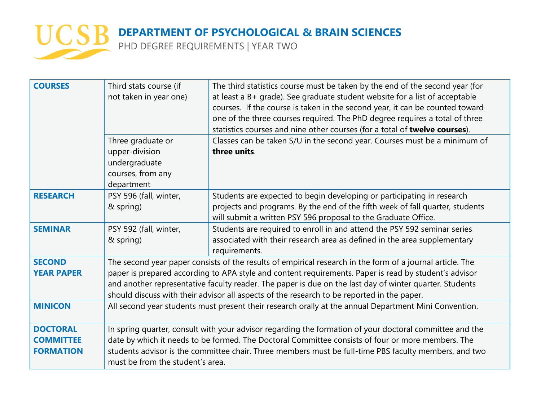

PHD DEGREE REQUIREMENTS | YEAR TWO

| <b>COURSES</b>                                          | Third stats course (if<br>not taken in year one)                                                                                                                                                                                                                                                                                                                                                                            | The third statistics course must be taken by the end of the second year (for<br>at least a B+ grade). See graduate student website for a list of acceptable<br>courses. If the course is taken in the second year, it can be counted toward<br>one of the three courses required. The PhD degree requires a total of three<br>statistics courses and nine other courses (for a total of twelve courses). |
|---------------------------------------------------------|-----------------------------------------------------------------------------------------------------------------------------------------------------------------------------------------------------------------------------------------------------------------------------------------------------------------------------------------------------------------------------------------------------------------------------|----------------------------------------------------------------------------------------------------------------------------------------------------------------------------------------------------------------------------------------------------------------------------------------------------------------------------------------------------------------------------------------------------------|
|                                                         | Three graduate or<br>upper-division<br>undergraduate<br>courses, from any<br>department                                                                                                                                                                                                                                                                                                                                     | Classes can be taken S/U in the second year. Courses must be a minimum of<br>three units.                                                                                                                                                                                                                                                                                                                |
| <b>RESEARCH</b>                                         | PSY 596 (fall, winter,<br>& spring)                                                                                                                                                                                                                                                                                                                                                                                         | Students are expected to begin developing or participating in research<br>projects and programs. By the end of the fifth week of fall quarter, students<br>will submit a written PSY 596 proposal to the Graduate Office.                                                                                                                                                                                |
| <b>SEMINAR</b>                                          | PSY 592 (fall, winter,<br>& spring)                                                                                                                                                                                                                                                                                                                                                                                         | Students are required to enroll in and attend the PSY 592 seminar series<br>associated with their research area as defined in the area supplementary<br>requirements.                                                                                                                                                                                                                                    |
| <b>SECOND</b><br><b>YEAR PAPER</b>                      | The second year paper consists of the results of empirical research in the form of a journal article. The<br>paper is prepared according to APA style and content requirements. Paper is read by student's advisor<br>and another representative faculty reader. The paper is due on the last day of winter quarter. Students<br>should discuss with their advisor all aspects of the research to be reported in the paper. |                                                                                                                                                                                                                                                                                                                                                                                                          |
| <b>MINICON</b>                                          | All second year students must present their research orally at the annual Department Mini Convention.                                                                                                                                                                                                                                                                                                                       |                                                                                                                                                                                                                                                                                                                                                                                                          |
| <b>DOCTORAL</b><br><b>COMMITTEE</b><br><b>FORMATION</b> | In spring quarter, consult with your advisor regarding the formation of your doctoral committee and the<br>date by which it needs to be formed. The Doctoral Committee consists of four or more members. The<br>students advisor is the committee chair. Three members must be full-time PBS faculty members, and two<br>must be from the student's area.                                                                   |                                                                                                                                                                                                                                                                                                                                                                                                          |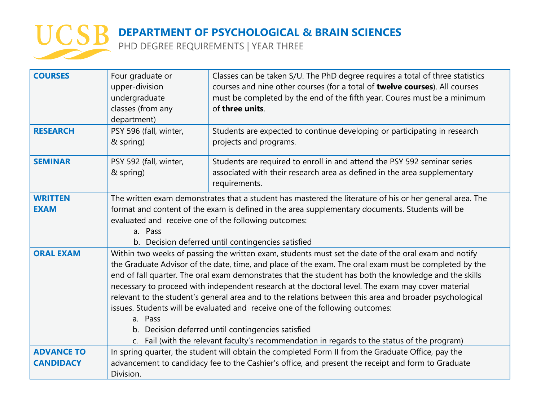

PHD DEGREE REQUIREMENTS | YEAR THREE

| <b>COURSES</b>                | Four graduate or<br>upper-division<br>undergraduate<br>classes (from any<br>department)                                                                                                                                                                                                                                                                                                                                                                                                                                                                                                                                                                                                                                                                                                      | Classes can be taken S/U. The PhD degree requires a total of three statistics<br>courses and nine other courses (for a total of twelve courses). All courses<br>must be completed by the end of the fifth year. Coures must be a minimum<br>of three units. |  |
|-------------------------------|----------------------------------------------------------------------------------------------------------------------------------------------------------------------------------------------------------------------------------------------------------------------------------------------------------------------------------------------------------------------------------------------------------------------------------------------------------------------------------------------------------------------------------------------------------------------------------------------------------------------------------------------------------------------------------------------------------------------------------------------------------------------------------------------|-------------------------------------------------------------------------------------------------------------------------------------------------------------------------------------------------------------------------------------------------------------|--|
| <b>RESEARCH</b>               | PSY 596 (fall, winter,<br>& spring)                                                                                                                                                                                                                                                                                                                                                                                                                                                                                                                                                                                                                                                                                                                                                          | Students are expected to continue developing or participating in research<br>projects and programs.                                                                                                                                                         |  |
| <b>SEMINAR</b>                | PSY 592 (fall, winter,<br>& spring)                                                                                                                                                                                                                                                                                                                                                                                                                                                                                                                                                                                                                                                                                                                                                          | Students are required to enroll in and attend the PSY 592 seminar series<br>associated with their research area as defined in the area supplementary<br>requirements.                                                                                       |  |
| <b>WRITTEN</b><br><b>EXAM</b> | The written exam demonstrates that a student has mastered the literature of his or her general area. The<br>format and content of the exam is defined in the area supplementary documents. Students will be<br>evaluated and receive one of the following outcomes:<br>a. Pass<br>b. Decision deferred until contingencies satisfied                                                                                                                                                                                                                                                                                                                                                                                                                                                         |                                                                                                                                                                                                                                                             |  |
| <b>ORAL EXAM</b>              | Within two weeks of passing the written exam, students must set the date of the oral exam and notify<br>the Graduate Advisor of the date, time, and place of the exam. The oral exam must be completed by the<br>end of fall quarter. The oral exam demonstrates that the student has both the knowledge and the skills<br>necessary to proceed with independent research at the doctoral level. The exam may cover material<br>relevant to the student's general area and to the relations between this area and broader psychological<br>issues. Students will be evaluated and receive one of the following outcomes:<br>a. Pass<br>b. Decision deferred until contingencies satisfied<br>Fail (with the relevant faculty's recommendation in regards to the status of the program)<br>C. |                                                                                                                                                                                                                                                             |  |
| <b>ADVANCE TO</b>             | In spring quarter, the student will obtain the completed Form II from the Graduate Office, pay the                                                                                                                                                                                                                                                                                                                                                                                                                                                                                                                                                                                                                                                                                           |                                                                                                                                                                                                                                                             |  |
| <b>CANDIDACY</b>              | Division.                                                                                                                                                                                                                                                                                                                                                                                                                                                                                                                                                                                                                                                                                                                                                                                    | advancement to candidacy fee to the Cashier's office, and present the receipt and form to Graduate                                                                                                                                                          |  |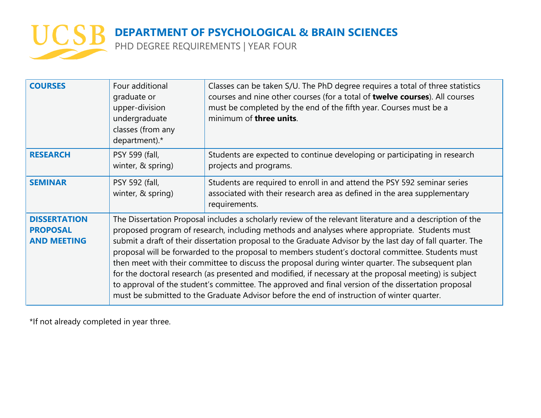

PHD DEGREE REQUIREMENTS | YEAR FOUR

| <b>COURSES</b>                                               | Four additional<br>graduate or<br>upper-division<br>undergraduate<br>classes (from any<br>department).*                                                                                                                                                                                                                                                                                                                                                                                                                                                                                                                                                                                                                                                                                                                                           | Classes can be taken S/U. The PhD degree requires a total of three statistics<br>courses and nine other courses (for a total of twelve courses). All courses<br>must be completed by the end of the fifth year. Courses must be a<br>minimum of three units. |
|--------------------------------------------------------------|---------------------------------------------------------------------------------------------------------------------------------------------------------------------------------------------------------------------------------------------------------------------------------------------------------------------------------------------------------------------------------------------------------------------------------------------------------------------------------------------------------------------------------------------------------------------------------------------------------------------------------------------------------------------------------------------------------------------------------------------------------------------------------------------------------------------------------------------------|--------------------------------------------------------------------------------------------------------------------------------------------------------------------------------------------------------------------------------------------------------------|
| <b>RESEARCH</b>                                              | PSY 599 (fall,<br>winter, & spring)                                                                                                                                                                                                                                                                                                                                                                                                                                                                                                                                                                                                                                                                                                                                                                                                               | Students are expected to continue developing or participating in research<br>projects and programs.                                                                                                                                                          |
| <b>SEMINAR</b>                                               | PSY 592 (fall,<br>winter, & spring)                                                                                                                                                                                                                                                                                                                                                                                                                                                                                                                                                                                                                                                                                                                                                                                                               | Students are required to enroll in and attend the PSY 592 seminar series<br>associated with their research area as defined in the area supplementary<br>requirements.                                                                                        |
| <b>DISSERTATION</b><br><b>PROPOSAL</b><br><b>AND MEETING</b> | The Dissertation Proposal includes a scholarly review of the relevant literature and a description of the<br>proposed program of research, including methods and analyses where appropriate. Students must<br>submit a draft of their dissertation proposal to the Graduate Advisor by the last day of fall quarter. The<br>proposal will be forwarded to the proposal to members student's doctoral committee. Students must<br>then meet with their committee to discuss the proposal during winter quarter. The subsequent plan<br>for the doctoral research (as presented and modified, if necessary at the proposal meeting) is subject<br>to approval of the student's committee. The approved and final version of the dissertation proposal<br>must be submitted to the Graduate Advisor before the end of instruction of winter quarter. |                                                                                                                                                                                                                                                              |

\*If not already completed in year three.